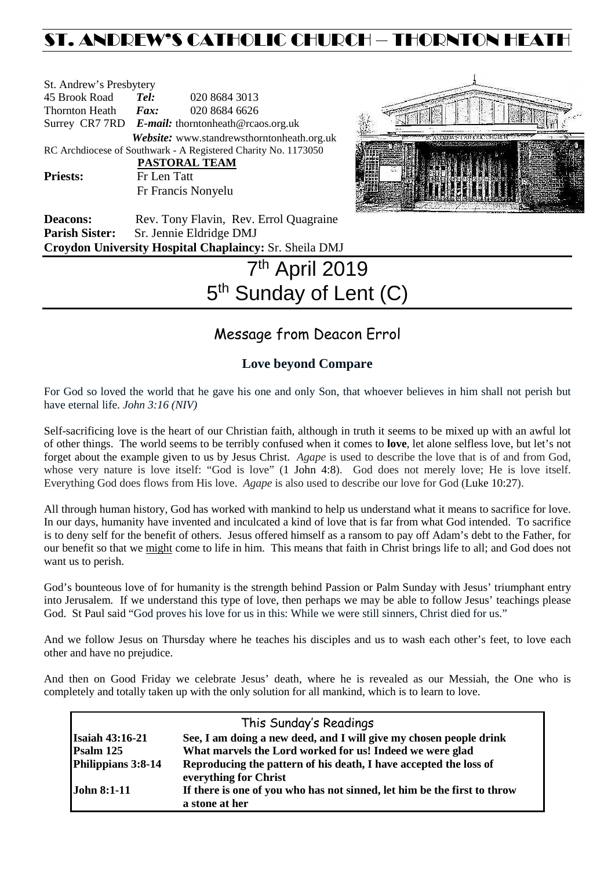## ST. ANDREW'S CATHOLIC CHURCH – THORNTON HEAT

| St. Andrew's Presbytery |                                                   |                                                                                                                       |  |  |
|-------------------------|---------------------------------------------------|-----------------------------------------------------------------------------------------------------------------------|--|--|
| 45 Brook Road           | Tel:                                              | 020 8684 3013                                                                                                         |  |  |
| Thornton Heath          | $\boldsymbol{F}$ <i>ax</i> :                      | 020 8684 6626                                                                                                         |  |  |
|                         | Surrey CR7 7RD E-mail: thorntonheath@rcaos.org.uk |                                                                                                                       |  |  |
|                         |                                                   | Website: www.standrewsthorntonheath.org.uk                                                                            |  |  |
|                         |                                                   | RC Archdiocese of Southwark - A Registered Charity No. 1173050                                                        |  |  |
|                         |                                                   | PASTORAL TEAM                                                                                                         |  |  |
| <b>Priests:</b>         | Fr Len Tatt                                       |                                                                                                                       |  |  |
|                         |                                                   | Fr Francis Nonyelu                                                                                                    |  |  |
| $\mathbf{D}$            |                                                   | $\mathbf{D}$ , $\mathbf{D}$ , $\mathbf{D}$ , $\mathbf{D}$ , $\mathbf{D}$ , $\mathbf{D}$ , $\mathbf{D}$ , $\mathbf{D}$ |  |  |



**Deacons:** Rev. Tony Flavin, Rev. Errol Quagraine Parish Sister: Sr. Jennie Eldridge DMJ **Croydon University Hospital Chaplaincy:** Sr. Sheila DMJ

# 7th April 2019 5<sup>th</sup> Sunday of Lent (C)

### Message from Deacon Errol

### **Love beyond Compare**

For God so loved the world that he gave his one and only Son, that whoever believes in him shall not perish but have eternal life. *John 3:16 (NIV)*

Self-sacrificing love is the heart of our Christian faith, although in truth it seems to be mixed up with an awful lot of other things. The world seems to be terribly confused when it comes to **love**, let alone selfless love, but let's not forget about the example given to us by Jesus Christ. *Agape* is used to describe the love that is of and from God, whose very nature is love itself: "God is love" (1 John 4:8). God does not merely love; He is love itself. Everything God does flows from His love. *Agape* is also used to describe our love for God (Luke 10:27).

All through human history, God has worked with mankind to help us understand what it means to sacrifice for love. In our days, humanity have invented and inculcated a kind of love that is far from what God intended. To sacrifice is to deny self for the benefit of others. Jesus offered himself as a ransom to pay off Adam's debt to the Father, for our benefit so that we might come to life in him. This means that faith in Christ brings life to all; and God does not want us to perish.

God's bounteous love of for humanity is the strength behind Passion or Palm Sunday with Jesus' triumphant entry into Jerusalem. If we understand this type of love, then perhaps we may be able to follow Jesus' teachings please God. St Paul said "God proves his love for us in this: While we were still sinners, Christ died for us."

And we follow Jesus on Thursday where he teaches his disciples and us to wash each other's feet, to love each other and have no prejudice.

And then on Good Friday we celebrate Jesus' death, where he is revealed as our Messiah, the One who is completely and totally taken up with the only solution for all mankind, which is to learn to love.

| This Sunday's Readings |                                                                                            |  |  |  |
|------------------------|--------------------------------------------------------------------------------------------|--|--|--|
| <b>Isaiah 43:16-21</b> | See, I am doing a new deed, and I will give my chosen people drink                         |  |  |  |
| Psalm 125              | What marvels the Lord worked for us! Indeed we were glad                                   |  |  |  |
| Philippians 3:8-14     | Reproducing the pattern of his death, I have accepted the loss of<br>everything for Christ |  |  |  |
| <b>John 8:1-11</b>     | If there is one of you who has not sinned, let him be the first to throw<br>a stone at her |  |  |  |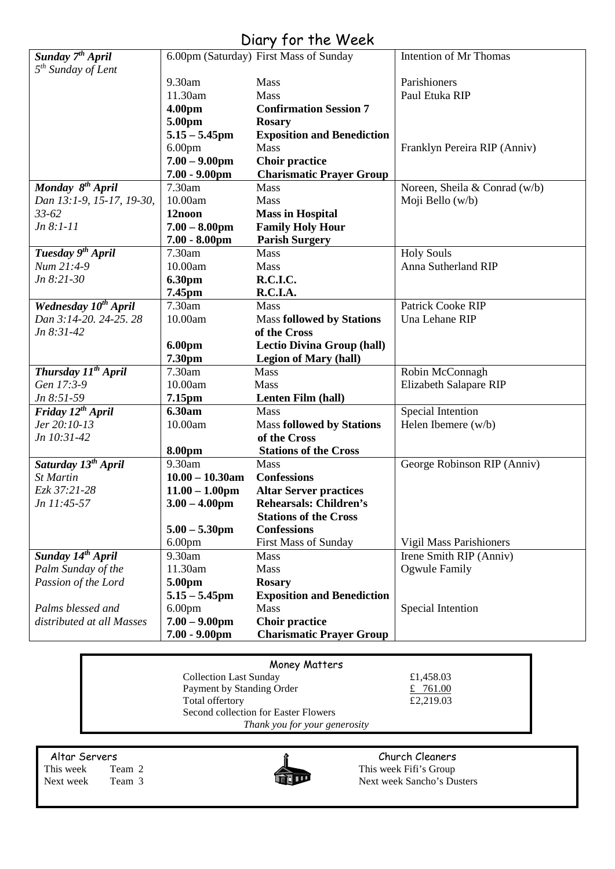### Diary for the Week

| Sunday 7 <sup>th</sup> April    |                    | 6.00pm (Saturday) First Mass of Sunday | Intention of Mr Thomas        |
|---------------------------------|--------------------|----------------------------------------|-------------------------------|
| $5th$ Sunday of Lent            |                    |                                        |                               |
|                                 | 9.30am             | Mass                                   | Parishioners                  |
|                                 | 11.30am            | Mass                                   | Paul Etuka RIP                |
|                                 | 4.00pm             | <b>Confirmation Session 7</b>          |                               |
|                                 | 5.00pm             | <b>Rosary</b>                          |                               |
|                                 | $5.15 - 5.45$ pm   | <b>Exposition and Benediction</b>      |                               |
|                                 | 6.00 <sub>pm</sub> | Mass                                   | Franklyn Pereira RIP (Anniv)  |
|                                 | $7.00 - 9.00$ pm   | <b>Choir practice</b>                  |                               |
|                                 | $7.00 - 9.00$ pm   | <b>Charismatic Prayer Group</b>        |                               |
| Monday 8 <sup>th</sup> April    | 7.30am             | Mass                                   | Noreen, Sheila & Conrad (w/b) |
| Dan 13:1-9, 15-17, 19-30,       | 10.00am            | Mass                                   | Moji Bello (w/b)              |
| $33 - 62$                       | 12noon             | <b>Mass in Hospital</b>                |                               |
| $Jn 8:1-11$                     | $7.00 - 8.00$ pm   | <b>Family Holy Hour</b>                |                               |
|                                 | $7.00 - 8.00$ pm   | <b>Parish Surgery</b>                  |                               |
| Tuesday 9 <sup>th</sup> April   | 7.30am             | Mass                                   | <b>Holy Souls</b>             |
| Num 21:4-9                      | 10.00am            | Mass                                   | Anna Sutherland RIP           |
| Jn 8:21-30                      | <b>6.30pm</b>      | R.C.I.C.                               |                               |
|                                 | 7.45pm             | R.C.I.A.                               |                               |
| Wednesday $10^{th}$ April       | 7.30am             | <b>Mass</b>                            | Patrick Cooke RIP             |
| Dan 3:14-20, 24-25, 28          | 10.00am            | <b>Mass followed by Stations</b>       | Una Lehane RIP                |
| $Jn 8:31-42$                    |                    | of the Cross                           |                               |
|                                 | 6.00pm             | <b>Lectio Divina Group (hall)</b>      |                               |
|                                 | 7.30pm             | <b>Legion of Mary (hall)</b>           |                               |
| Thursday 11 <sup>th</sup> April | 7.30am             | Mass                                   | Robin McConnagh               |
| Gen 17:3-9                      | 10.00am            | Mass                                   | Elizabeth Salapare RIP        |
| Jn 8:51-59                      | 7.15pm             | Lenten Film (hall)                     |                               |
| Friday 12 <sup>th</sup> April   | 6.30am             | Mass                                   | Special Intention             |
| Jer 20:10-13                    | 10.00am            | <b>Mass followed by Stations</b>       | Helen Ibemere (w/b)           |
| Jn 10:31-42                     |                    | of the Cross                           |                               |
|                                 | 8.00pm             | <b>Stations of the Cross</b>           |                               |
| Saturday 13 <sup>th</sup> April | 9.30am             | Mass                                   | George Robinson RIP (Anniv)   |
| <b>St Martin</b>                | $10.00 - 10.30$ am | <b>Confessions</b>                     |                               |
| Ezk 37:21-28                    | $11.00 - 1.00$ pm  | <b>Altar Server practices</b>          |                               |
| Jn 11:45-57                     | $3.00 - 4.00$ pm   | <b>Rehearsals: Children's</b>          |                               |
|                                 |                    | <b>Stations of the Cross</b>           |                               |
|                                 | $5.00 - 5.30$ pm   | <b>Confessions</b>                     |                               |
|                                 | 6.00 <sub>pm</sub> | <b>First Mass of Sunday</b>            | Vigil Mass Parishioners       |
| Sunday 14 <sup>th</sup> April   | 9.30am             | Mass                                   | Irene Smith RIP (Anniv)       |
| Palm Sunday of the              | 11.30am            | <b>Mass</b>                            | Ogwule Family                 |
| Passion of the Lord             | 5.00pm             | <b>Rosary</b>                          |                               |
|                                 | $5.15 - 5.45$ pm   | <b>Exposition and Benediction</b>      |                               |
| Palms blessed and               | 6.00 <sub>pm</sub> | Mass                                   | Special Intention             |
| distributed at all Masses       | $7.00 - 9.00$ pm   | <b>Choir practice</b>                  |                               |
|                                 | $7.00 - 9.00$ pm   | <b>Charismatic Prayer Group</b>        |                               |

| Money Matters                        |           |  |  |  |
|--------------------------------------|-----------|--|--|--|
| <b>Collection Last Sunday</b>        | £1,458.03 |  |  |  |
| Payment by Standing Order            | £ 761.00  |  |  |  |
| Total offertory                      | £2,219.03 |  |  |  |
| Second collection for Easter Flowers |           |  |  |  |
| Thank you for your generosity        |           |  |  |  |

Altar Servers Church Cleaners<br>
This week Team 2 This week Fifi's Group This week Team 2 This week Fifi's Group<br>Next week Team 3 Next week Sancho's Du



Next week Sancho's Dusters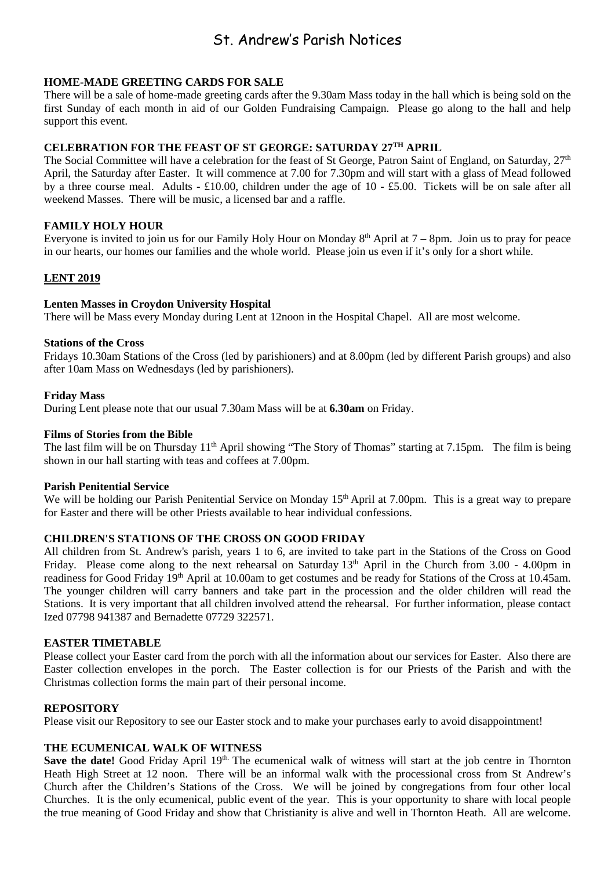### St. Andrew's Parish Notices

#### **HOME-MADE GREETING CARDS FOR SALE**

There will be a sale of home-made greeting cards after the 9.30am Mass today in the hall which is being sold on the first Sunday of each month in aid of our Golden Fundraising Campaign. Please go along to the hall and help support this event.

#### **CELEBRATION FOR THE FEAST OF ST GEORGE: SATURDAY 27TH APRIL**

The Social Committee will have a celebration for the feast of St George, Patron Saint of England, on Saturday,  $27<sup>th</sup>$ April, the Saturday after Easter. It will commence at 7.00 for 7.30pm and will start with a glass of Mead followed by a three course meal. Adults - £10.00, children under the age of 10 - £5.00. Tickets will be on sale after all weekend Masses. There will be music, a licensed bar and a raffle.

#### **FAMILY HOLY HOUR**

Everyone is invited to join us for our Family Holy Hour on Monday  $8<sup>th</sup>$  April at  $7 - 8$ pm. Join us to pray for peace in our hearts, our homes our families and the whole world. Please join us even if it's only for a short while.

#### **LENT 2019**

#### **Lenten Masses in Croydon University Hospital**

There will be Mass every Monday during Lent at 12noon in the Hospital Chapel. All are most welcome.

#### **Stations of the Cross**

Fridays 10.30am Stations of the Cross (led by parishioners) and at 8.00pm (led by different Parish groups) and also after 10am Mass on Wednesdays (led by parishioners).

#### **Friday Mass**

During Lent please note that our usual 7.30am Mass will be at **6.30am** on Friday.

#### **Films of Stories from the Bible**

The last film will be on Thursday 11<sup>th</sup> April showing "The Story of Thomas" starting at 7.15pm. The film is being shown in our hall starting with teas and coffees at 7.00pm.

#### **Parish Penitential Service**

We will be holding our Parish Penitential Service on Monday 15<sup>th</sup> April at 7.00pm. This is a great way to prepare for Easter and there will be other Priests available to hear individual confessions.

#### **CHILDREN'S STATIONS OF THE CROSS ON GOOD FRIDAY**

All children from St. Andrew's parish, years 1 to 6, are invited to take part in the Stations of the Cross on Good Friday. Please come along to the next rehearsal on Saturday 13<sup>th</sup> April in the Church from 3.00 - 4.00pm in readiness for Good Friday 19th April at 10.00am to get costumes and be ready for Stations of the Cross at 10.45am. The younger children will carry banners and take part in the procession and the older children will read the Stations. It is very important that all children involved attend the rehearsal. For further information, please contact Ized 07798 941387 and Bernadette 07729 322571.

#### **EASTER TIMETABLE**

Please collect your Easter card from the porch with all the information about our services for Easter. Also there are Easter collection envelopes in the porch. The Easter collection is for our Priests of the Parish and with the Christmas collection forms the main part of their personal income.

#### **REPOSITORY**

Please visit our Repository to see our Easter stock and to make your purchases early to avoid disappointment!

#### **THE ECUMENICAL WALK OF WITNESS**

Save the date! Good Friday April 19<sup>th.</sup> The ecumenical walk of witness will start at the job centre in Thornton Heath High Street at 12 noon. There will be an informal walk with the processional cross from St Andrew's Church after the Children's Stations of the Cross. We will be joined by congregations from four other local Churches. It is the only ecumenical, public event of the year. This is your opportunity to share with local people the true meaning of Good Friday and show that Christianity is alive and well in Thornton Heath. All are welcome.